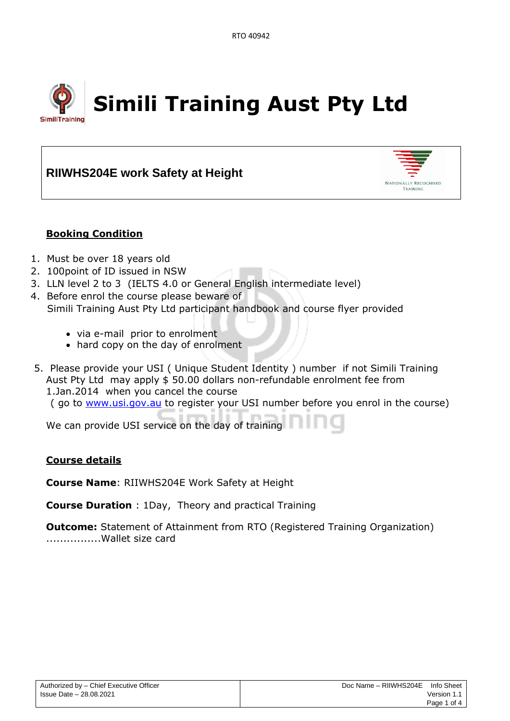

# **RIIWHS204E work Safety at Height**



# **Booking Condition**

- 1. Must be over 18 years old
- 2. 100point of ID issued in NSW
- 3. LLN level 2 to 3 (IELTS 4.0 or General English intermediate level)
- 4. Before enrol the course please beware of Simili Training Aust Pty Ltd participant handbook and course flyer provided
	- via e-mail prior to enrolment
	- hard copy on the day of enrolment
- 5. Please provide your USI ( Unique Student Identity ) number if not Simili Training Aust Pty Ltd may apply \$ 50.00 dollars non-refundable enrolment fee from 1.Jan.2014 when you cancel the course ( go to [www.usi.gov.au](http://www.usi.gov.au/) to register your USI number before you enrol in the course)

We can provide USI service on the day of training

## **Course details**

**Course Name**: RIIWHS204E Work Safety at Height

**Course Duration** : 1Day, Theory and practical Training

**Outcome:** Statement of Attainment from RTO (Registered Training Organization) ................Wallet size card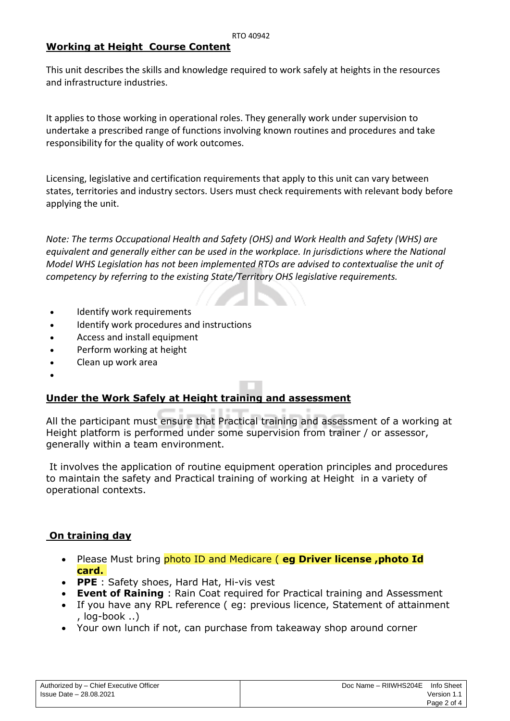#### **Working at Height Course Content**

This unit describes the skills and knowledge required to work safely at heights in the resources and infrastructure industries.

It applies to those working in operational roles. They generally work under supervision to undertake a prescribed range of functions involving known routines and procedures and take responsibility for the quality of work outcomes.

Licensing, legislative and certification requirements that apply to this unit can vary between states, territories and industry sectors. Users must check requirements with relevant body before applying the unit.

*Note: The terms Occupational Health and Safety (OHS) and Work Health and Safety (WHS) are equivalent and generally either can be used in the workplace. In jurisdictions where the National Model WHS Legislation has not been implemented RTOs are advised to contextualise the unit of competency by referring to the existing State/Territory OHS legislative requirements.*

- Identify work requirements
- Identify work procedures and instructions
- Access and install equipment
- Perform working at height
- Clean up work area
- •

# **Under the Work Safely at Height training and assessment**

All the participant must ensure that Practical training and assessment of a working at Height platform is performed under some supervision from trainer / or assessor, generally within a team environment.

It involves the application of routine equipment operation principles and procedures to maintain the safety and Practical training of working at Height in a variety of operational contexts.

## **On training day**

- Please Must bring photo ID and Medicare ( **eg Driver license ,photo Id card.**
- **PPE** : Safety shoes, Hard Hat, Hi-vis vest
- **Event of Raining** : Rain Coat required for Practical training and Assessment
- If you have any RPL reference ( eg: previous licence, Statement of attainment , log-book ..)
- Your own lunch if not, can purchase from takeaway shop around corner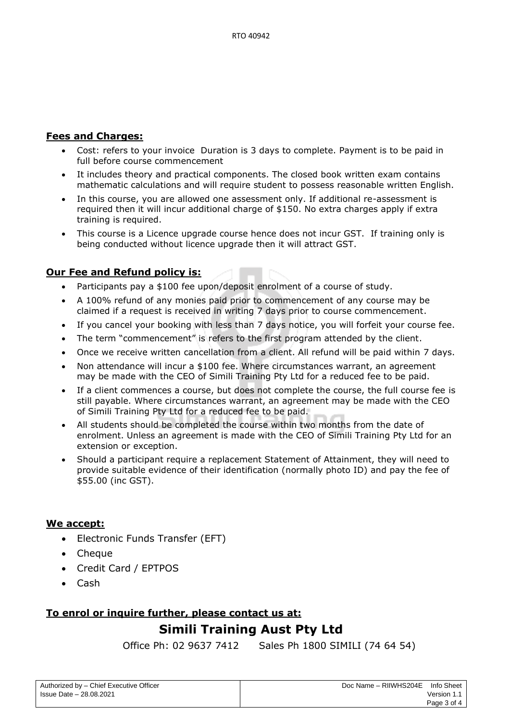#### **Fees and Charges:**

- Cost: refers to your invoice Duration is 3 days to complete. Payment is to be paid in full before course commencement
- It includes theory and practical components. The closed book written exam contains mathematic calculations and will require student to possess reasonable written English.
- In this course, you are allowed one assessment only. If additional re-assessment is required then it will incur additional charge of \$150. No extra charges apply if extra training is required.
- This course is a Licence upgrade course hence does not incur GST. If training only is being conducted without licence upgrade then it will attract GST.

#### **Our Fee and Refund policy is:**

- Participants pay a \$100 fee upon/deposit enrolment of a course of study.
- A 100% refund of any monies paid prior to commencement of any course may be claimed if a request is received in writing 7 days prior to course commencement.
- If you cancel your booking with less than 7 days notice, you will forfeit your course fee.
- The term "commencement" is refers to the first program attended by the client.
- Once we receive written cancellation from a client. All refund will be paid within 7 days.
- Non attendance will incur a \$100 fee. Where circumstances warrant, an agreement may be made with the CEO of Simili Training Pty Ltd for a reduced fee to be paid.
- If a client commences a course, but does not complete the course, the full course fee is still payable. Where circumstances warrant, an agreement may be made with the CEO of Simili Training Pty Ltd for a reduced fee to be paid.
- All students should be completed the course within two months from the date of enrolment. Unless an agreement is made with the CEO of Simili Training Pty Ltd for an extension or exception.
- Should a participant require a replacement Statement of Attainment, they will need to provide suitable evidence of their identification (normally photo ID) and pay the fee of \$55.00 (inc GST).

#### **We accept:**

- Electronic Funds Transfer (EFT)
- Cheque
- Credit Card / EPTPOS
- Cash

## **To enrol or inquire further, please contact us at:**

# **Simili Training Aust Pty Ltd**

Office Ph: 02 9637 7412 Sales Ph 1800 SIMILI (74 64 54)

| Authorized by - Chief Executive Officer |  |
|-----------------------------------------|--|
| <b>Issue Date - 28,08,2021</b>          |  |